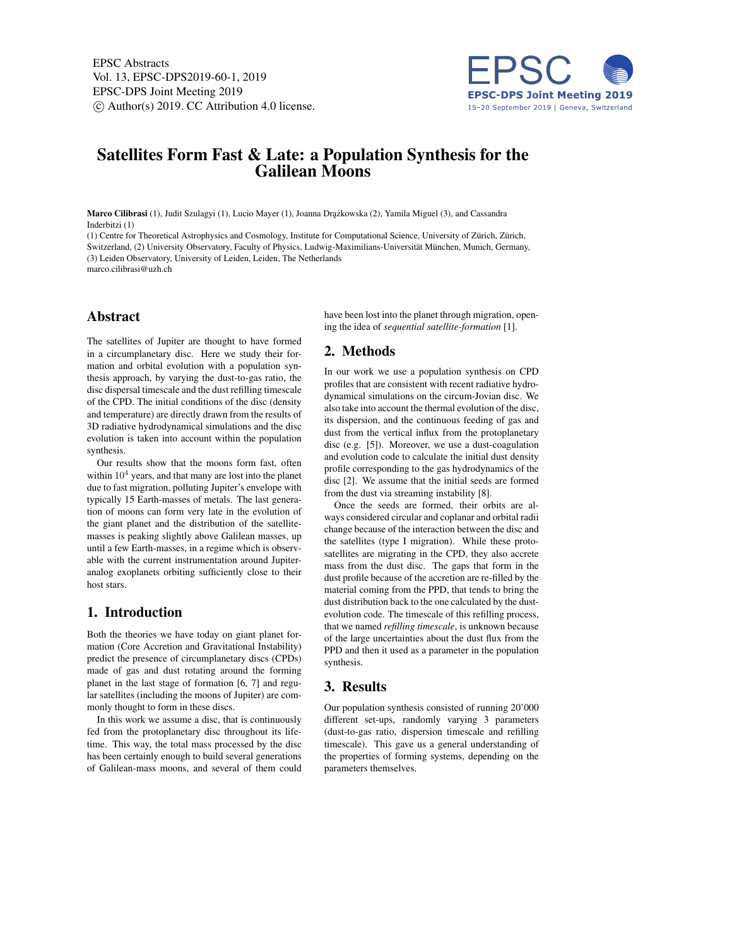EPSC Abstracts Vol. 13, EPSC-DPS2019-60-1, 2019 EPSC-DPS Joint Meeting 2019  $\circ$  Author(s) 2019. CC Attribution 4.0 license.



# Satellites Form Fast & Late: a Population Synthesis for the Galilean Moons

Marco Cilibrasi (1), Judit Szulagyi (1), Lucio Mayer (1), Joanna Drążkowska (2), Yamila Miguel (3), and Cassandra Inderbitzi (1)

(1) Centre for Theoretical Astrophysics and Cosmology, Institute for Computational Science, University of Zürich, Zürich, Switzerland, (2) University Observatory, Faculty of Physics, Ludwig-Maximilians-Universität München, Munich, Germany, (3) Leiden Observatory, University of Leiden, Leiden, The Netherlands marco.cilibrasi@uzh.ch

# Abstract

The satellites of Jupiter are thought to have formed in a circumplanetary disc. Here we study their formation and orbital evolution with a population synthesis approach, by varying the dust-to-gas ratio, the disc dispersal timescale and the dust refilling timescale of the CPD. The initial conditions of the disc (density and temperature) are directly drawn from the results of 3D radiative hydrodynamical simulations and the disc evolution is taken into account within the population synthesis.

Our results show that the moons form fast, often within  $10<sup>4</sup>$  years, and that many are lost into the planet due to fast migration, polluting Jupiter's envelope with typically 15 Earth-masses of metals. The last generation of moons can form very late in the evolution of the giant planet and the distribution of the satellitemasses is peaking slightly above Galilean masses, up until a few Earth-masses, in a regime which is observable with the current instrumentation around Jupiteranalog exoplanets orbiting sufficiently close to their host stars.

# 1. Introduction

Both the theories we have today on giant planet formation (Core Accretion and Gravitational Instability) predict the presence of circumplanetary discs (CPDs) made of gas and dust rotating around the forming planet in the last stage of formation [6, 7] and regular satellites (including the moons of Jupiter) are commonly thought to form in these discs.

In this work we assume a disc, that is continuously fed from the protoplanetary disc throughout its lifetime. This way, the total mass processed by the disc has been certainly enough to build several generations of Galilean-mass moons, and several of them could have been lost into the planet through migration, opening the idea of *sequential satellite-formation* [1].

## 2. Methods

In our work we use a population synthesis on CPD profiles that are consistent with recent radiative hydrodynamical simulations on the circum-Jovian disc. We also take into account the thermal evolution of the disc, its dispersion, and the continuous feeding of gas and dust from the vertical influx from the protoplanetary disc (e.g. [5]). Moreover, we use a dust-coagulation and evolution code to calculate the initial dust density profile corresponding to the gas hydrodynamics of the disc [2]. We assume that the initial seeds are formed from the dust via streaming instability [8].

Once the seeds are formed, their orbits are always considered circular and coplanar and orbital radii change because of the interaction between the disc and the satellites (type I migration). While these protosatellites are migrating in the CPD, they also accrete mass from the dust disc. The gaps that form in the dust profile because of the accretion are re-filled by the material coming from the PPD, that tends to bring the dust distribution back to the one calculated by the dustevolution code. The timescale of this refilling process, that we named *refilling timescale*, is unknown because of the large uncertainties about the dust flux from the PPD and then it used as a parameter in the population synthesis.

# 3. Results

Our population synthesis consisted of running 20'000 different set-ups, randomly varying 3 parameters (dust-to-gas ratio, dispersion timescale and refilling timescale). This gave us a general understanding of the properties of forming systems, depending on the parameters themselves.